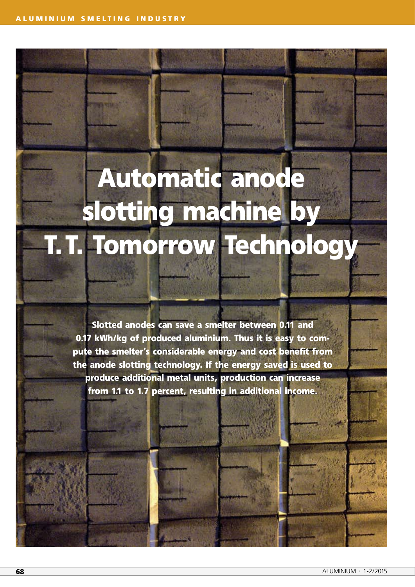## **Automatic anode slotting machine by T.T. Tomorrow Technology**

**Slotted anodes can save a smelter between 0.11 and 0.17 kWh/kg of produced aluminium. Thus it is easy to compute the smelter's considerable energy and cost benefit from the anode slotting technology. If the energy saved is used to produce additional metal units, production can increase from 1.1 to 1.7 percent, resulting in additional income.**